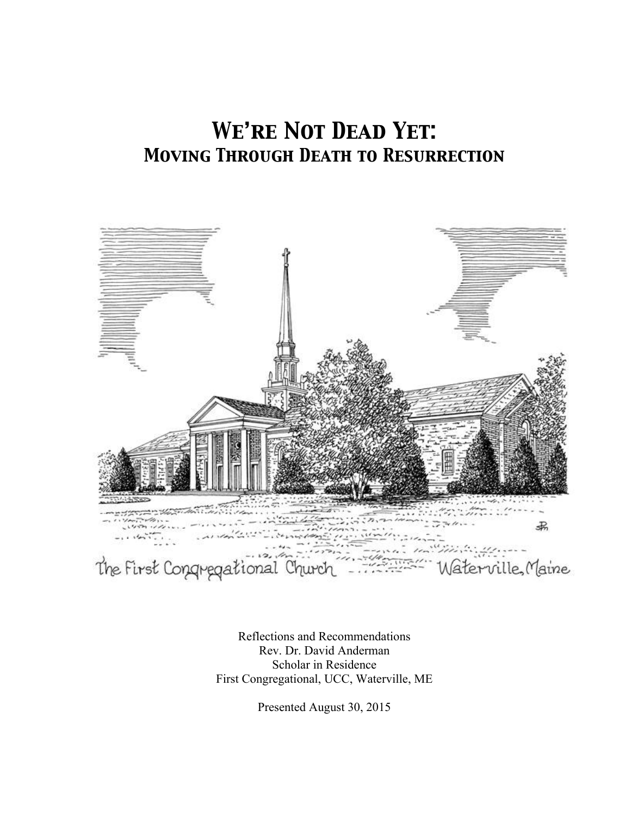# *We're Not Dead Yet: Moving Through Death to Resurrection*



Reflections and Recommendations Rev. Dr. David Anderman Scholar in Residence First Congregational, UCC, Waterville, ME

Presented August 30, 2015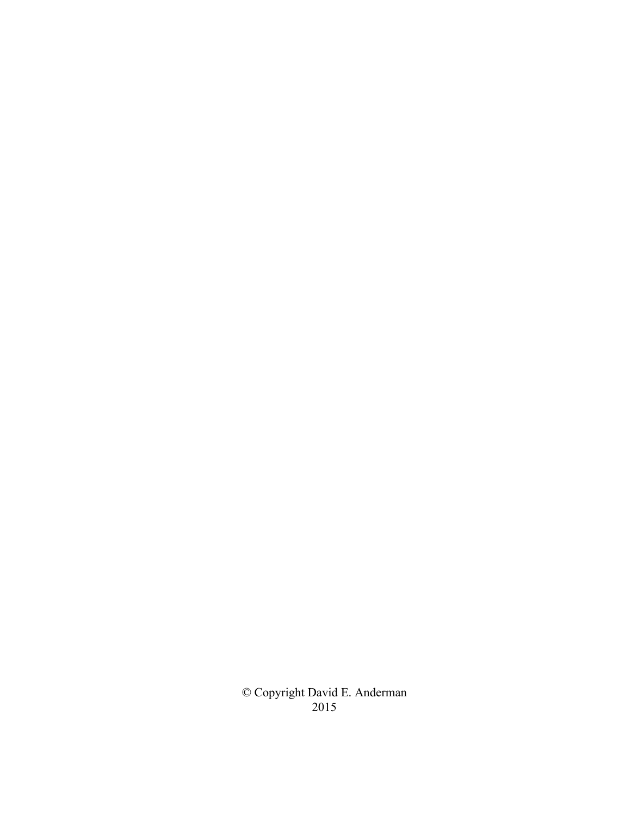© Copyright David E. Anderman 2015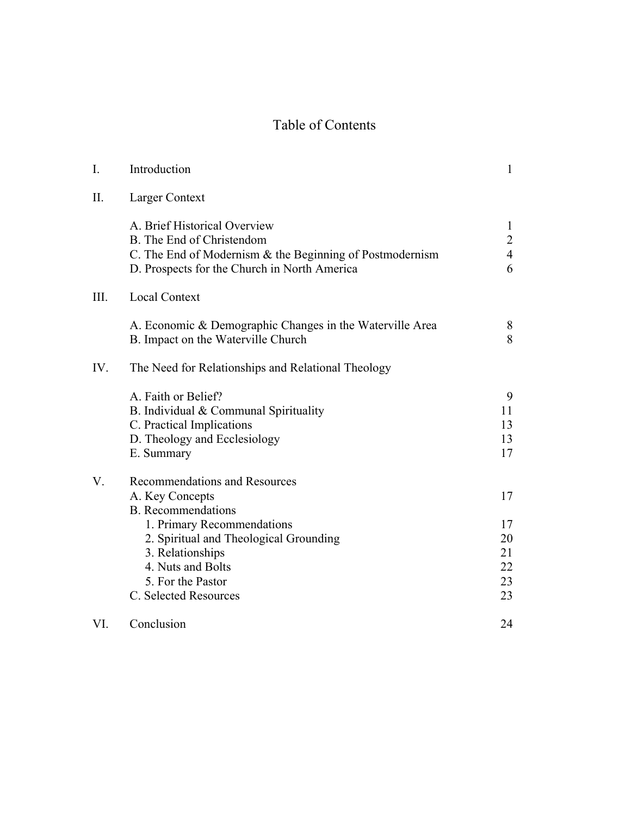# Table of Contents

| $\mathbf{I}$ . | Introduction                                                                                                                                                                                                                                 | $\mathbf{1}$                                          |
|----------------|----------------------------------------------------------------------------------------------------------------------------------------------------------------------------------------------------------------------------------------------|-------------------------------------------------------|
| II.            | Larger Context                                                                                                                                                                                                                               |                                                       |
|                | A. Brief Historical Overview<br>B. The End of Christendom<br>C. The End of Modernism & the Beginning of Postmodernism<br>D. Prospects for the Church in North America                                                                        | $\mathbf{1}$<br>$\overline{2}$<br>$\overline{4}$<br>6 |
| III.           | <b>Local Context</b>                                                                                                                                                                                                                         |                                                       |
|                | A. Economic & Demographic Changes in the Waterville Area<br>B. Impact on the Waterville Church                                                                                                                                               | 8<br>8                                                |
| IV.            | The Need for Relationships and Relational Theology                                                                                                                                                                                           |                                                       |
|                | A. Faith or Belief?<br>B. Individual & Communal Spirituality<br>C. Practical Implications<br>D. Theology and Ecclesiology<br>E. Summary                                                                                                      | 9<br>11<br>13<br>13<br>17                             |
| V.             | Recommendations and Resources<br>A. Key Concepts<br><b>B.</b> Recommendations<br>1. Primary Recommendations<br>2. Spiritual and Theological Grounding<br>3. Relationships<br>4. Nuts and Bolts<br>5. For the Pastor<br>C. Selected Resources | 17<br>17<br>20<br>21<br>22<br>23<br>23                |
| VI.            | Conclusion                                                                                                                                                                                                                                   | 24                                                    |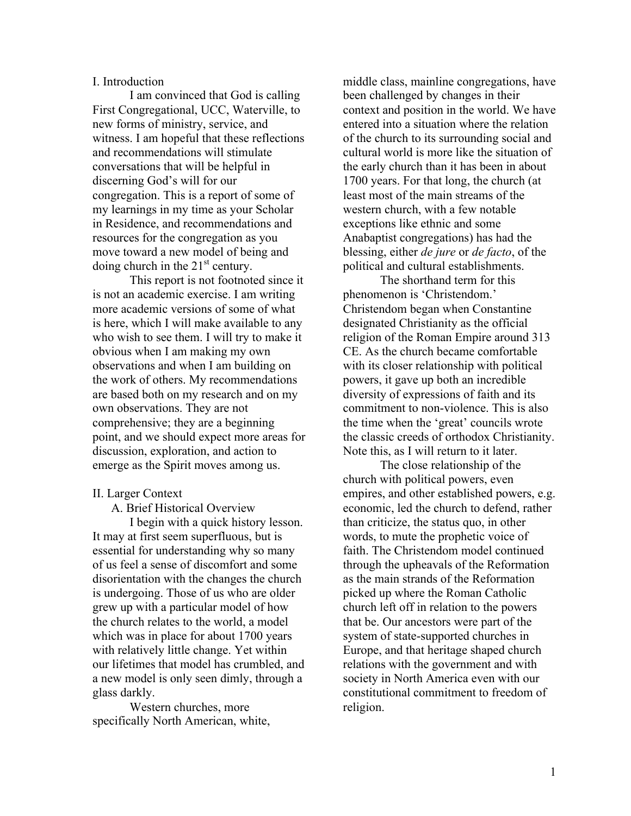### I. Introduction

I am convinced that God is calling First Congregational, UCC, Waterville, to new forms of ministry, service, and witness. I am hopeful that these reflections and recommendations will stimulate conversations that will be helpful in discerning God's will for our congregation. This is a report of some of my learnings in my time as your Scholar in Residence, and recommendations and resources for the congregation as you move toward a new model of being and doing church in the  $21<sup>st</sup>$  century.

This report is not footnoted since it is not an academic exercise. I am writing more academic versions of some of what is here, which I will make available to any who wish to see them. I will try to make it obvious when I am making my own observations and when I am building on the work of others. My recommendations are based both on my research and on my own observations. They are not comprehensive; they are a beginning point, and we should expect more areas for discussion, exploration, and action to emerge as the Spirit moves among us.

#### II. Larger Context

A. Brief Historical Overview

I begin with a quick history lesson. It may at first seem superfluous, but is essential for understanding why so many of us feel a sense of discomfort and some disorientation with the changes the church is undergoing. Those of us who are older grew up with a particular model of how the church relates to the world, a model which was in place for about 1700 years with relatively little change. Yet within our lifetimes that model has crumbled, and a new model is only seen dimly, through a glass darkly.

Western churches, more specifically North American, white, middle class, mainline congregations, have been challenged by changes in their context and position in the world. We have entered into a situation where the relation of the church to its surrounding social and cultural world is more like the situation of the early church than it has been in about 1700 years. For that long, the church (at least most of the main streams of the western church, with a few notable exceptions like ethnic and some Anabaptist congregations) has had the blessing, either *de jure* or *de facto*, of the political and cultural establishments.

The shorthand term for this phenomenon is 'Christendom.' Christendom began when Constantine designated Christianity as the official religion of the Roman Empire around 313 CE. As the church became comfortable with its closer relationship with political powers, it gave up both an incredible diversity of expressions of faith and its commitment to non-violence. This is also the time when the 'great' councils wrote the classic creeds of orthodox Christianity. Note this, as I will return to it later.

The close relationship of the church with political powers, even empires, and other established powers, e.g. economic, led the church to defend, rather than criticize, the status quo, in other words, to mute the prophetic voice of faith. The Christendom model continued through the upheavals of the Reformation as the main strands of the Reformation picked up where the Roman Catholic church left off in relation to the powers that be. Our ancestors were part of the system of state-supported churches in Europe, and that heritage shaped church relations with the government and with society in North America even with our constitutional commitment to freedom of religion.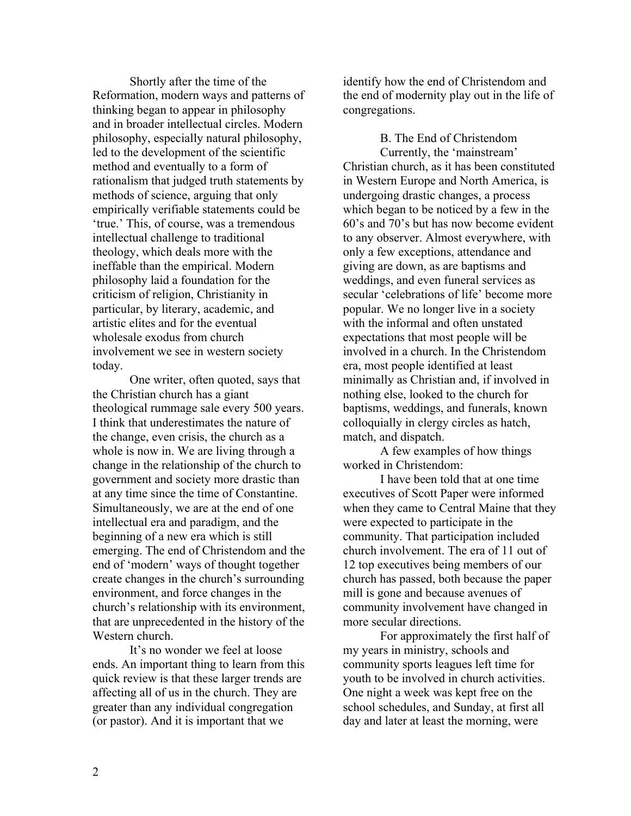Shortly after the time of the Reformation, modern ways and patterns of thinking began to appear in philosophy and in broader intellectual circles. Modern philosophy, especially natural philosophy, led to the development of the scientific method and eventually to a form of rationalism that judged truth statements by methods of science, arguing that only empirically verifiable statements could be 'true.' This, of course, was a tremendous intellectual challenge to traditional theology, which deals more with the ineffable than the empirical. Modern philosophy laid a foundation for the criticism of religion, Christianity in particular, by literary, academic, and artistic elites and for the eventual wholesale exodus from church involvement we see in western society today.

One writer, often quoted, says that the Christian church has a giant theological rummage sale every 500 years. I think that underestimates the nature of the change, even crisis, the church as a whole is now in. We are living through a change in the relationship of the church to government and society more drastic than at any time since the time of Constantine. Simultaneously, we are at the end of one intellectual era and paradigm, and the beginning of a new era which is still emerging. The end of Christendom and the end of 'modern' ways of thought together create changes in the church's surrounding environment, and force changes in the church's relationship with its environment, that are unprecedented in the history of the Western church.

It's no wonder we feel at loose ends. An important thing to learn from this quick review is that these larger trends are affecting all of us in the church. They are greater than any individual congregation (or pastor). And it is important that we

identify how the end of Christendom and the end of modernity play out in the life of congregations.

B. The End of Christendom

Currently, the 'mainstream' Christian church, as it has been constituted in Western Europe and North America, is undergoing drastic changes, a process which began to be noticed by a few in the 60's and 70's but has now become evident to any observer. Almost everywhere, with only a few exceptions, attendance and giving are down, as are baptisms and weddings, and even funeral services as secular 'celebrations of life' become more popular. We no longer live in a society with the informal and often unstated expectations that most people will be involved in a church. In the Christendom era, most people identified at least minimally as Christian and, if involved in nothing else, looked to the church for baptisms, weddings, and funerals, known colloquially in clergy circles as hatch, match, and dispatch.

A few examples of how things worked in Christendom:

I have been told that at one time executives of Scott Paper were informed when they came to Central Maine that they were expected to participate in the community. That participation included church involvement. The era of 11 out of 12 top executives being members of our church has passed, both because the paper mill is gone and because avenues of community involvement have changed in more secular directions.

For approximately the first half of my years in ministry, schools and community sports leagues left time for youth to be involved in church activities. One night a week was kept free on the school schedules, and Sunday, at first all day and later at least the morning, were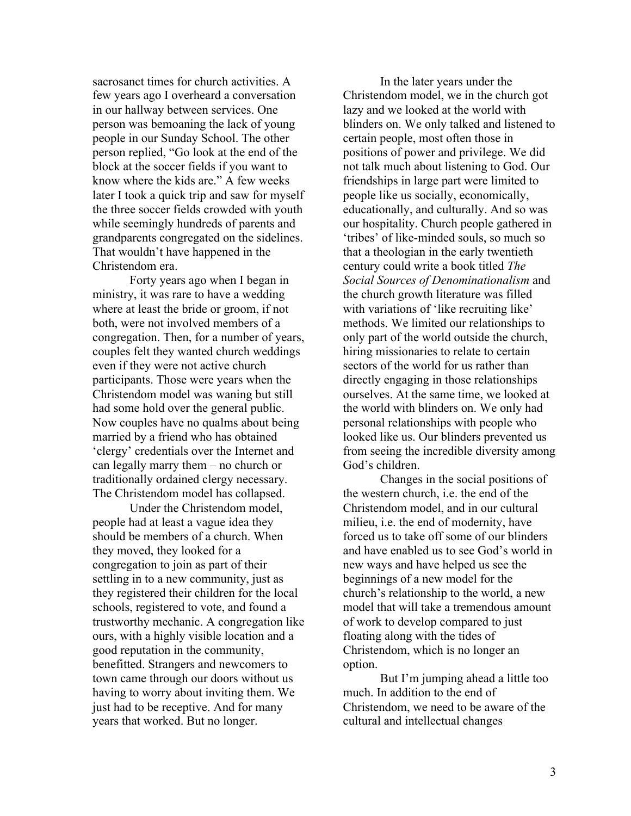sacrosanct times for church activities. A few years ago I overheard a conversation in our hallway between services. One person was bemoaning the lack of young people in our Sunday School. The other person replied, "Go look at the end of the block at the soccer fields if you want to know where the kids are." A few weeks later I took a quick trip and saw for myself the three soccer fields crowded with youth while seemingly hundreds of parents and grandparents congregated on the sidelines. That wouldn't have happened in the Christendom era.

Forty years ago when I began in ministry, it was rare to have a wedding where at least the bride or groom, if not both, were not involved members of a congregation. Then, for a number of years, couples felt they wanted church weddings even if they were not active church participants. Those were years when the Christendom model was waning but still had some hold over the general public. Now couples have no qualms about being married by a friend who has obtained 'clergy' credentials over the Internet and can legally marry them – no church or traditionally ordained clergy necessary. The Christendom model has collapsed.

Under the Christendom model, people had at least a vague idea they should be members of a church. When they moved, they looked for a congregation to join as part of their settling in to a new community, just as they registered their children for the local schools, registered to vote, and found a trustworthy mechanic. A congregation like ours, with a highly visible location and a good reputation in the community, benefitted. Strangers and newcomers to town came through our doors without us having to worry about inviting them. We just had to be receptive. And for many years that worked. But no longer.

In the later years under the Christendom model, we in the church got lazy and we looked at the world with blinders on. We only talked and listened to certain people, most often those in positions of power and privilege. We did not talk much about listening to God. Our friendships in large part were limited to people like us socially, economically, educationally, and culturally. And so was our hospitality. Church people gathered in 'tribes' of like-minded souls, so much so that a theologian in the early twentieth century could write a book titled *The Social Sources of Denominationalism* and the church growth literature was filled with variations of 'like recruiting like' methods. We limited our relationships to only part of the world outside the church, hiring missionaries to relate to certain sectors of the world for us rather than directly engaging in those relationships ourselves. At the same time, we looked at the world with blinders on. We only had personal relationships with people who looked like us. Our blinders prevented us from seeing the incredible diversity among God's children.

Changes in the social positions of the western church, i.e. the end of the Christendom model, and in our cultural milieu, i.e. the end of modernity, have forced us to take off some of our blinders and have enabled us to see God's world in new ways and have helped us see the beginnings of a new model for the church's relationship to the world, a new model that will take a tremendous amount of work to develop compared to just floating along with the tides of Christendom, which is no longer an option.

But I'm jumping ahead a little too much. In addition to the end of Christendom, we need to be aware of the cultural and intellectual changes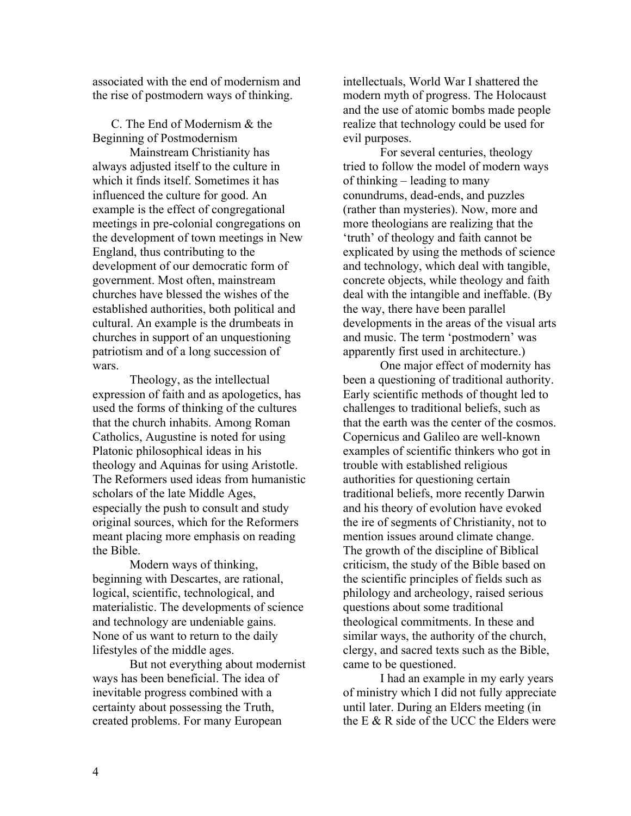associated with the end of modernism and the rise of postmodern ways of thinking.

C. The End of Modernism & the Beginning of Postmodernism

Mainstream Christianity has always adjusted itself to the culture in which it finds itself. Sometimes it has influenced the culture for good. An example is the effect of congregational meetings in pre-colonial congregations on the development of town meetings in New England, thus contributing to the development of our democratic form of government. Most often, mainstream churches have blessed the wishes of the established authorities, both political and cultural. An example is the drumbeats in churches in support of an unquestioning patriotism and of a long succession of wars.

Theology, as the intellectual expression of faith and as apologetics, has used the forms of thinking of the cultures that the church inhabits. Among Roman Catholics, Augustine is noted for using Platonic philosophical ideas in his theology and Aquinas for using Aristotle. The Reformers used ideas from humanistic scholars of the late Middle Ages, especially the push to consult and study original sources, which for the Reformers meant placing more emphasis on reading the Bible.

Modern ways of thinking, beginning with Descartes, are rational, logical, scientific, technological, and materialistic. The developments of science and technology are undeniable gains. None of us want to return to the daily lifestyles of the middle ages.

But not everything about modernist ways has been beneficial. The idea of inevitable progress combined with a certainty about possessing the Truth, created problems. For many European

intellectuals, World War I shattered the modern myth of progress. The Holocaust and the use of atomic bombs made people realize that technology could be used for evil purposes.

For several centuries, theology tried to follow the model of modern ways of thinking – leading to many conundrums, dead-ends, and puzzles (rather than mysteries). Now, more and more theologians are realizing that the 'truth' of theology and faith cannot be explicated by using the methods of science and technology, which deal with tangible, concrete objects, while theology and faith deal with the intangible and ineffable. (By the way, there have been parallel developments in the areas of the visual arts and music. The term 'postmodern' was apparently first used in architecture.)

One major effect of modernity has been a questioning of traditional authority. Early scientific methods of thought led to challenges to traditional beliefs, such as that the earth was the center of the cosmos. Copernicus and Galileo are well-known examples of scientific thinkers who got in trouble with established religious authorities for questioning certain traditional beliefs, more recently Darwin and his theory of evolution have evoked the ire of segments of Christianity, not to mention issues around climate change. The growth of the discipline of Biblical criticism, the study of the Bible based on the scientific principles of fields such as philology and archeology, raised serious questions about some traditional theological commitments. In these and similar ways, the authority of the church, clergy, and sacred texts such as the Bible, came to be questioned.

I had an example in my early years of ministry which I did not fully appreciate until later. During an Elders meeting (in the E  $&$  R side of the UCC the Elders were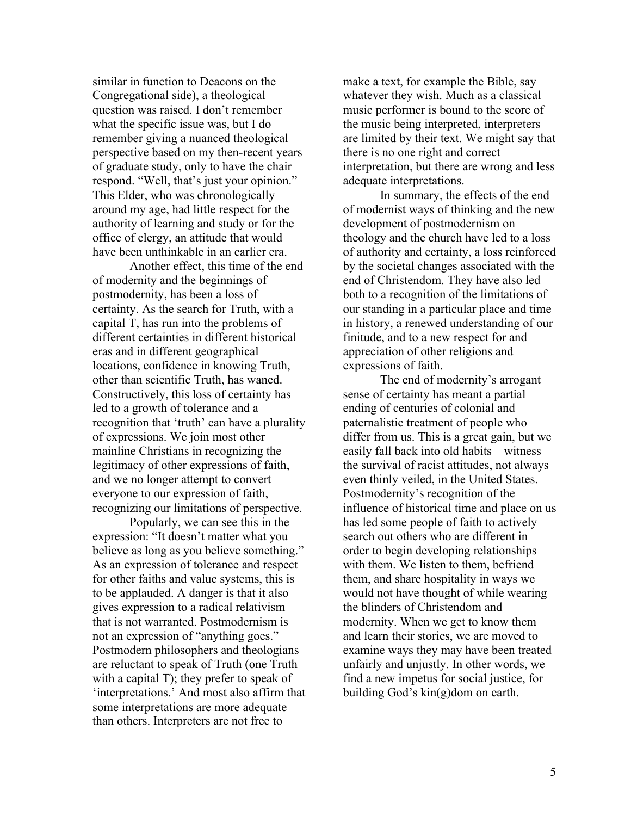similar in function to Deacons on the Congregational side), a theological question was raised. I don't remember what the specific issue was, but I do remember giving a nuanced theological perspective based on my then-recent years of graduate study, only to have the chair respond. "Well, that's just your opinion." This Elder, who was chronologically around my age, had little respect for the authority of learning and study or for the office of clergy, an attitude that would have been unthinkable in an earlier era.

Another effect, this time of the end of modernity and the beginnings of postmodernity, has been a loss of certainty. As the search for Truth, with a capital T, has run into the problems of different certainties in different historical eras and in different geographical locations, confidence in knowing Truth, other than scientific Truth, has waned. Constructively, this loss of certainty has led to a growth of tolerance and a recognition that 'truth' can have a plurality of expressions. We join most other mainline Christians in recognizing the legitimacy of other expressions of faith, and we no longer attempt to convert everyone to our expression of faith, recognizing our limitations of perspective.

Popularly, we can see this in the expression: "It doesn't matter what you believe as long as you believe something." As an expression of tolerance and respect for other faiths and value systems, this is to be applauded. A danger is that it also gives expression to a radical relativism that is not warranted. Postmodernism is not an expression of "anything goes." Postmodern philosophers and theologians are reluctant to speak of Truth (one Truth with a capital T); they prefer to speak of 'interpretations.' And most also affirm that some interpretations are more adequate than others. Interpreters are not free to

make a text, for example the Bible, say whatever they wish. Much as a classical music performer is bound to the score of the music being interpreted, interpreters are limited by their text. We might say that there is no one right and correct interpretation, but there are wrong and less adequate interpretations.

In summary, the effects of the end of modernist ways of thinking and the new development of postmodernism on theology and the church have led to a loss of authority and certainty, a loss reinforced by the societal changes associated with the end of Christendom. They have also led both to a recognition of the limitations of our standing in a particular place and time in history, a renewed understanding of our finitude, and to a new respect for and appreciation of other religions and expressions of faith.

The end of modernity's arrogant sense of certainty has meant a partial ending of centuries of colonial and paternalistic treatment of people who differ from us. This is a great gain, but we easily fall back into old habits – witness the survival of racist attitudes, not always even thinly veiled, in the United States. Postmodernity's recognition of the influence of historical time and place on us has led some people of faith to actively search out others who are different in order to begin developing relationships with them. We listen to them, befriend them, and share hospitality in ways we would not have thought of while wearing the blinders of Christendom and modernity. When we get to know them and learn their stories, we are moved to examine ways they may have been treated unfairly and unjustly. In other words, we find a new impetus for social justice, for building God's kin(g)dom on earth.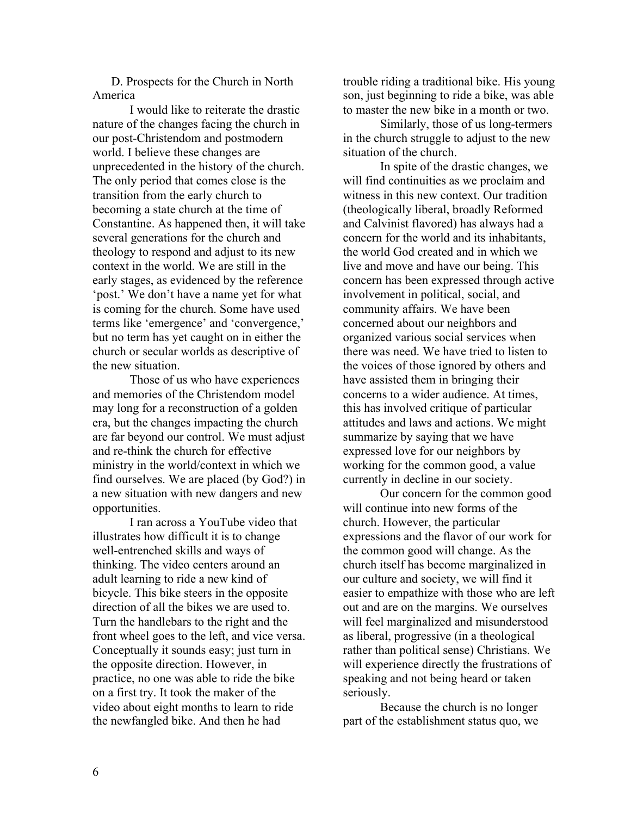D. Prospects for the Church in North America

I would like to reiterate the drastic nature of the changes facing the church in our post-Christendom and postmodern world. I believe these changes are unprecedented in the history of the church. The only period that comes close is the transition from the early church to becoming a state church at the time of Constantine. As happened then, it will take several generations for the church and theology to respond and adjust to its new context in the world. We are still in the early stages, as evidenced by the reference 'post.' We don't have a name yet for what is coming for the church. Some have used terms like 'emergence' and 'convergence,' but no term has yet caught on in either the church or secular worlds as descriptive of the new situation.

Those of us who have experiences and memories of the Christendom model may long for a reconstruction of a golden era, but the changes impacting the church are far beyond our control. We must adjust and re-think the church for effective ministry in the world/context in which we find ourselves. We are placed (by God?) in a new situation with new dangers and new opportunities.

I ran across a YouTube video that illustrates how difficult it is to change well-entrenched skills and ways of thinking. The video centers around an adult learning to ride a new kind of bicycle. This bike steers in the opposite direction of all the bikes we are used to. Turn the handlebars to the right and the front wheel goes to the left, and vice versa. Conceptually it sounds easy; just turn in the opposite direction. However, in practice, no one was able to ride the bike on a first try. It took the maker of the video about eight months to learn to ride the newfangled bike. And then he had

trouble riding a traditional bike. His young son, just beginning to ride a bike, was able to master the new bike in a month or two.

Similarly, those of us long-termers in the church struggle to adjust to the new situation of the church.

In spite of the drastic changes, we will find continuities as we proclaim and witness in this new context. Our tradition (theologically liberal, broadly Reformed and Calvinist flavored) has always had a concern for the world and its inhabitants, the world God created and in which we live and move and have our being. This concern has been expressed through active involvement in political, social, and community affairs. We have been concerned about our neighbors and organized various social services when there was need. We have tried to listen to the voices of those ignored by others and have assisted them in bringing their concerns to a wider audience. At times, this has involved critique of particular attitudes and laws and actions. We might summarize by saying that we have expressed love for our neighbors by working for the common good, a value currently in decline in our society.

Our concern for the common good will continue into new forms of the church. However, the particular expressions and the flavor of our work for the common good will change. As the church itself has become marginalized in our culture and society, we will find it easier to empathize with those who are left out and are on the margins. We ourselves will feel marginalized and misunderstood as liberal, progressive (in a theological rather than political sense) Christians. We will experience directly the frustrations of speaking and not being heard or taken seriously.

Because the church is no longer part of the establishment status quo, we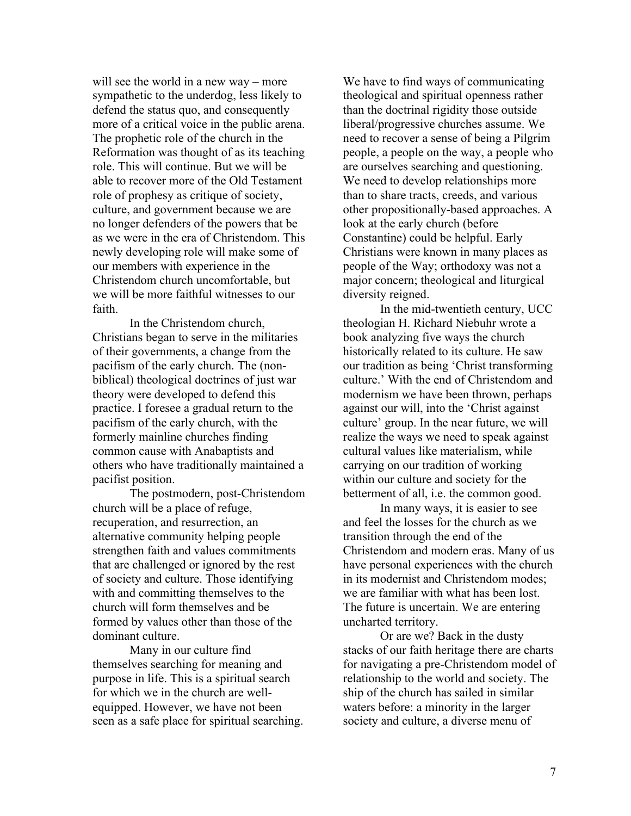will see the world in a new way – more sympathetic to the underdog, less likely to defend the status quo, and consequently more of a critical voice in the public arena. The prophetic role of the church in the Reformation was thought of as its teaching role. This will continue. But we will be able to recover more of the Old Testament role of prophesy as critique of society, culture, and government because we are no longer defenders of the powers that be as we were in the era of Christendom. This newly developing role will make some of our members with experience in the Christendom church uncomfortable, but we will be more faithful witnesses to our faith.

In the Christendom church, Christians began to serve in the militaries of their governments, a change from the pacifism of the early church. The (nonbiblical) theological doctrines of just war theory were developed to defend this practice. I foresee a gradual return to the pacifism of the early church, with the formerly mainline churches finding common cause with Anabaptists and others who have traditionally maintained a pacifist position.

The postmodern, post-Christendom church will be a place of refuge, recuperation, and resurrection, an alternative community helping people strengthen faith and values commitments that are challenged or ignored by the rest of society and culture. Those identifying with and committing themselves to the church will form themselves and be formed by values other than those of the dominant culture.

Many in our culture find themselves searching for meaning and purpose in life. This is a spiritual search for which we in the church are wellequipped. However, we have not been seen as a safe place for spiritual searching.

We have to find ways of communicating theological and spiritual openness rather than the doctrinal rigidity those outside liberal/progressive churches assume. We need to recover a sense of being a Pilgrim people, a people on the way, a people who are ourselves searching and questioning. We need to develop relationships more than to share tracts, creeds, and various other propositionally-based approaches. A look at the early church (before Constantine) could be helpful. Early Christians were known in many places as people of the Way; orthodoxy was not a major concern; theological and liturgical diversity reigned.

In the mid-twentieth century, UCC theologian H. Richard Niebuhr wrote a book analyzing five ways the church historically related to its culture. He saw our tradition as being 'Christ transforming culture.' With the end of Christendom and modernism we have been thrown, perhaps against our will, into the 'Christ against culture' group. In the near future, we will realize the ways we need to speak against cultural values like materialism, while carrying on our tradition of working within our culture and society for the betterment of all, i.e. the common good.

In many ways, it is easier to see and feel the losses for the church as we transition through the end of the Christendom and modern eras. Many of us have personal experiences with the church in its modernist and Christendom modes; we are familiar with what has been lost. The future is uncertain. We are entering uncharted territory.

Or are we? Back in the dusty stacks of our faith heritage there are charts for navigating a pre-Christendom model of relationship to the world and society. The ship of the church has sailed in similar waters before: a minority in the larger society and culture, a diverse menu of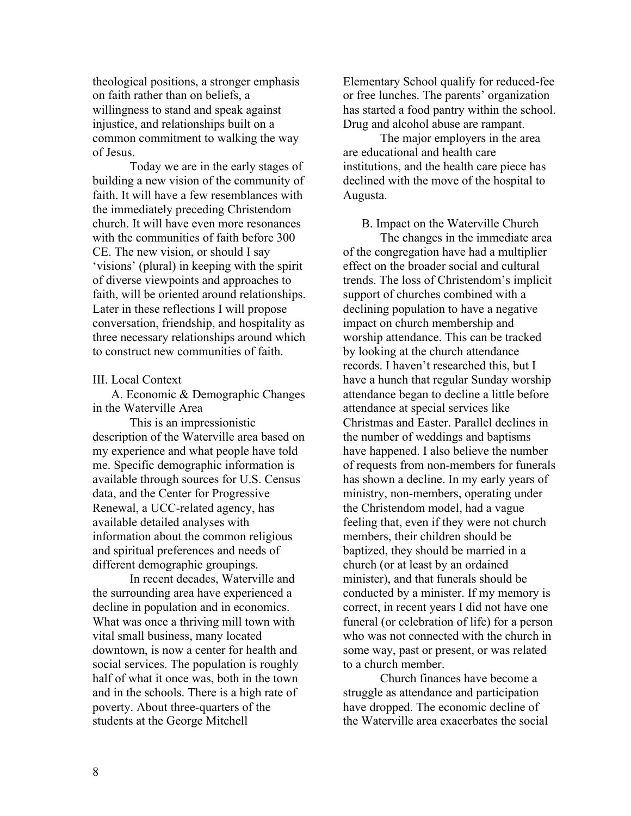theological positions, a stronger emphasis on faith rather than on beliefs, a willingness to stand and speak against injustice, and relationships built on a common commitment to walking the way of Jesus.

Today we are in the early stages of building a new vision of the community of faith. It will have a few resemblances with the immediately preceding Christendom church. It will have even more resonances with the communities of faith before 300 CE. The new vision, or should I say 'visions' (plural) in keeping with the spirit of diverse viewpoints and approaches to faith, will be oriented around relationships. Later in these reflections I will propose conversation, friendship, and hospitality as three necessary relationships around which to construct new communities of faith.

### III. Local Context

A. Economic & Demographic Changes in the Waterville Area

This is an impressionistic description of the Waterville area based on my experience and what people have told me. Specific demographic information is available through sources for U.S. Census data, and the Center for Progressive Renewal, a UCC-related agency, has available detailed analyses with information about the common religious and spiritual preferences and needs of different demographic groupings.

In recent decades, Waterville and the surrounding area have experienced a decline in population and in economics. What was once a thriving mill town with vital small business, many located downtown, is now a center for health and social services. The population is roughly half of what it once was, both in the town and in the schools. There is a high rate of poverty. About three-quarters of the students at the George Mitchell

Elementary School qualify for reduced-fee or free lunches. The parents' organization has started a food pantry within the school. Drug and alcohol abuse are rampant.

The major employers in the area are educational and health care institutions, and the health care piece has declined with the move of the hospital to Augusta.

B. Impact on the Waterville Church

The changes in the immediate area of the congregation have had a multiplier effect on the broader social and cultural trends. The loss of Christendom's implicit support of churches combined with a declining population to have a negative impact on church membership and worship attendance. This can be tracked by looking at the church attendance records. I haven't researched this, but I have a hunch that regular Sunday worship attendance began to decline a little before attendance at special services like Christmas and Easter. Parallel declines in the number of weddings and baptisms have happened. I also believe the number of requests from non-members for funerals has shown a decline. In my early years of ministry, non-members, operating under the Christendom model, had a vague feeling that, even if they were not church members, their children should be baptized, they should be married in a church (or at least by an ordained minister), and that funerals should be conducted by a minister. If my memory is correct, in recent years I did not have one funeral (or celebration of life) for a person who was not connected with the church in some way, past or present, or was related to a church member.

Church finances have become a struggle as attendance and participation have dropped. The economic decline of the Waterville area exacerbates the social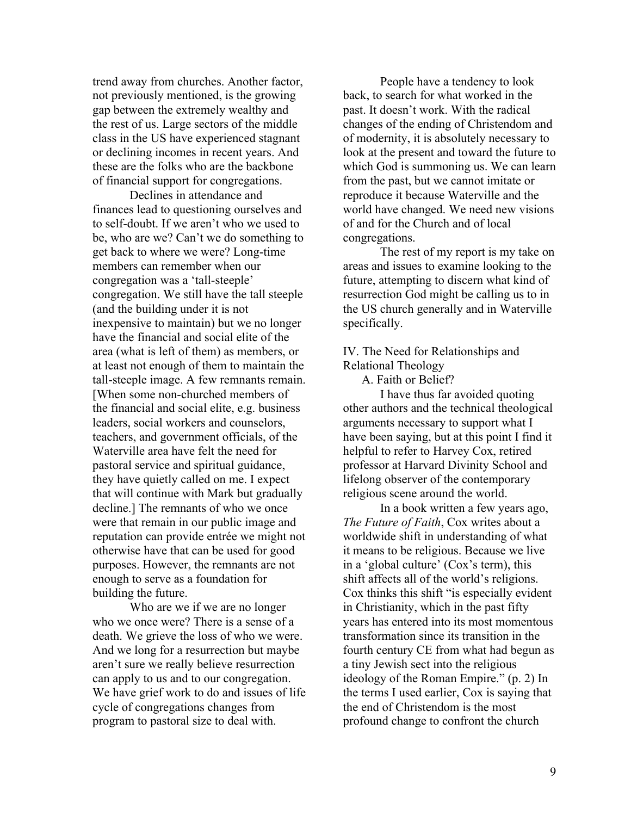trend away from churches. Another factor, not previously mentioned, is the growing gap between the extremely wealthy and the rest of us. Large sectors of the middle class in the US have experienced stagnant or declining incomes in recent years. And these are the folks who are the backbone of financial support for congregations.

Declines in attendance and finances lead to questioning ourselves and to self-doubt. If we aren't who we used to be, who are we? Can't we do something to get back to where we were? Long-time members can remember when our congregation was a 'tall-steeple' congregation. We still have the tall steeple (and the building under it is not inexpensive to maintain) but we no longer have the financial and social elite of the area (what is left of them) as members, or at least not enough of them to maintain the tall-steeple image. A few remnants remain. [When some non-churched members of the financial and social elite, e.g. business leaders, social workers and counselors, teachers, and government officials, of the Waterville area have felt the need for pastoral service and spiritual guidance, they have quietly called on me. I expect that will continue with Mark but gradually decline.] The remnants of who we once were that remain in our public image and reputation can provide entrée we might not otherwise have that can be used for good purposes. However, the remnants are not enough to serve as a foundation for building the future.

Who are we if we are no longer who we once were? There is a sense of a death. We grieve the loss of who we were. And we long for a resurrection but maybe aren't sure we really believe resurrection can apply to us and to our congregation. We have grief work to do and issues of life cycle of congregations changes from program to pastoral size to deal with.

People have a tendency to look back, to search for what worked in the past. It doesn't work. With the radical changes of the ending of Christendom and of modernity, it is absolutely necessary to look at the present and toward the future to which God is summoning us. We can learn from the past, but we cannot imitate or reproduce it because Waterville and the world have changed. We need new visions of and for the Church and of local congregations.

The rest of my report is my take on areas and issues to examine looking to the future, attempting to discern what kind of resurrection God might be calling us to in the US church generally and in Waterville specifically.

## IV. The Need for Relationships and Relational Theology

A. Faith or Belief?

I have thus far avoided quoting other authors and the technical theological arguments necessary to support what I have been saying, but at this point I find it helpful to refer to Harvey Cox, retired professor at Harvard Divinity School and lifelong observer of the contemporary religious scene around the world.

In a book written a few years ago, *The Future of Faith*, Cox writes about a worldwide shift in understanding of what it means to be religious. Because we live in a 'global culture' (Cox's term), this shift affects all of the world's religions. Cox thinks this shift "is especially evident in Christianity, which in the past fifty years has entered into its most momentous transformation since its transition in the fourth century CE from what had begun as a tiny Jewish sect into the religious ideology of the Roman Empire." (p. 2) In the terms I used earlier, Cox is saying that the end of Christendom is the most profound change to confront the church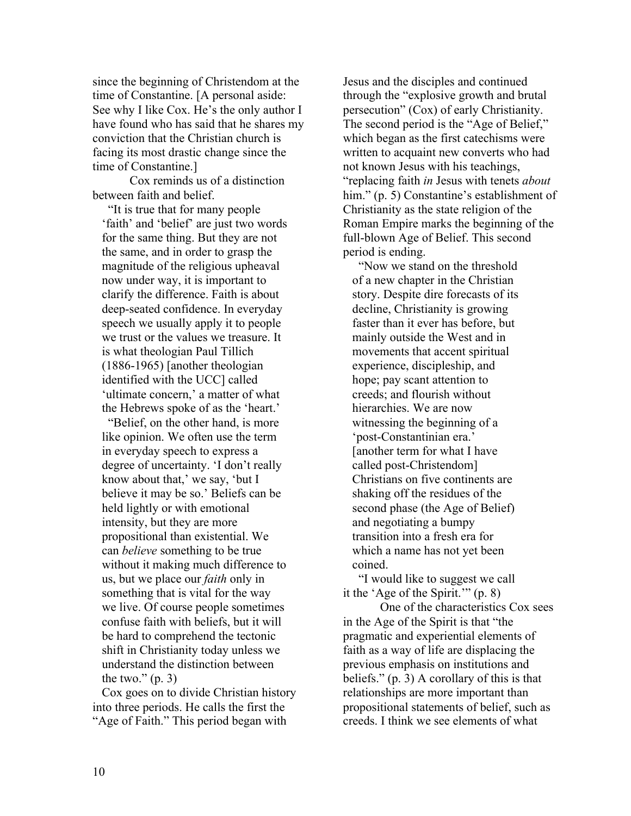since the beginning of Christendom at the time of Constantine. [A personal aside: See why I like Cox. He's the only author I have found who has said that he shares my conviction that the Christian church is facing its most drastic change since the time of Constantine.]

Cox reminds us of a distinction between faith and belief.

 "It is true that for many people 'faith' and 'belief' are just two words for the same thing. But they are not the same, and in order to grasp the magnitude of the religious upheaval now under way, it is important to clarify the difference. Faith is about deep-seated confidence. In everyday speech we usually apply it to people we trust or the values we treasure. It is what theologian Paul Tillich (1886-1965) [another theologian identified with the UCC] called 'ultimate concern,' a matter of what the Hebrews spoke of as the 'heart.'

 "Belief, on the other hand, is more like opinion. We often use the term in everyday speech to express a degree of uncertainty. 'I don't really know about that,' we say, 'but I believe it may be so.' Beliefs can be held lightly or with emotional intensity, but they are more propositional than existential. We can *believe* something to be true without it making much difference to us, but we place our *faith* only in something that is vital for the way we live. Of course people sometimes confuse faith with beliefs, but it will be hard to comprehend the tectonic shift in Christianity today unless we understand the distinction between the two."  $(p, 3)$ 

Cox goes on to divide Christian history into three periods. He calls the first the "Age of Faith." This period began with

Jesus and the disciples and continued through the "explosive growth and brutal persecution" (Cox) of early Christianity. The second period is the "Age of Belief," which began as the first catechisms were written to acquaint new converts who had not known Jesus with his teachings, "replacing faith *in* Jesus with tenets *about* him." (p. 5) Constantine's establishment of Christianity as the state religion of the Roman Empire marks the beginning of the full-blown Age of Belief. This second period is ending.

 "Now we stand on the threshold of a new chapter in the Christian story. Despite dire forecasts of its decline, Christianity is growing faster than it ever has before, but mainly outside the West and in movements that accent spiritual experience, discipleship, and hope; pay scant attention to creeds; and flourish without hierarchies. We are now witnessing the beginning of a 'post-Constantinian era.' [another term for what I have called post-Christendom] Christians on five continents are shaking off the residues of the second phase (the Age of Belief) and negotiating a bumpy transition into a fresh era for which a name has not yet been coined.

 "I would like to suggest we call it the 'Age of the Spirit.'" (p. 8)

One of the characteristics Cox sees in the Age of the Spirit is that "the pragmatic and experiential elements of faith as a way of life are displacing the previous emphasis on institutions and beliefs." (p. 3) A corollary of this is that relationships are more important than propositional statements of belief, such as creeds. I think we see elements of what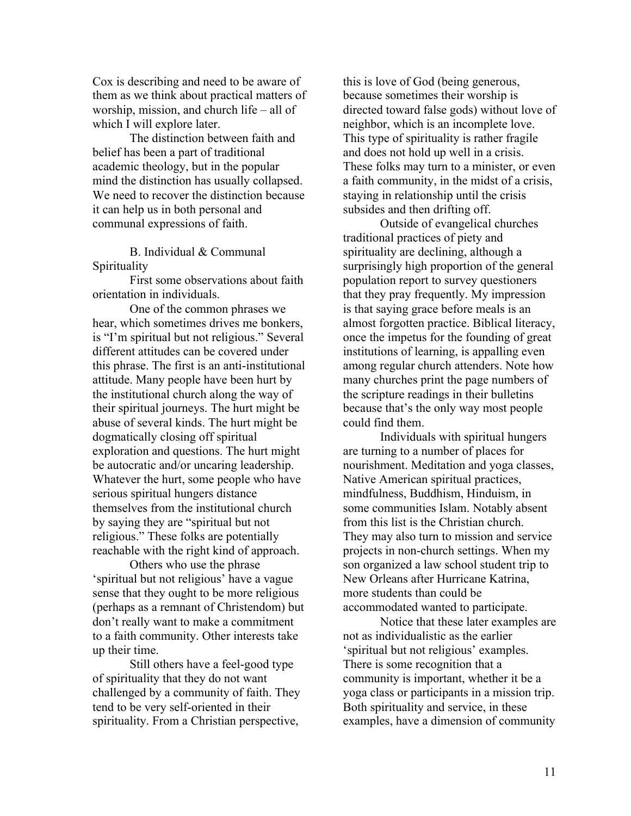Cox is describing and need to be aware of them as we think about practical matters of worship, mission, and church life – all of which I will explore later.

The distinction between faith and belief has been a part of traditional academic theology, but in the popular mind the distinction has usually collapsed. We need to recover the distinction because it can help us in both personal and communal expressions of faith.

B. Individual & Communal Spirituality

First some observations about faith orientation in individuals.

One of the common phrases we hear, which sometimes drives me bonkers, is "I'm spiritual but not religious." Several different attitudes can be covered under this phrase. The first is an anti-institutional attitude. Many people have been hurt by the institutional church along the way of their spiritual journeys. The hurt might be abuse of several kinds. The hurt might be dogmatically closing off spiritual exploration and questions. The hurt might be autocratic and/or uncaring leadership. Whatever the hurt, some people who have serious spiritual hungers distance themselves from the institutional church by saying they are "spiritual but not religious." These folks are potentially reachable with the right kind of approach.

Others who use the phrase 'spiritual but not religious' have a vague sense that they ought to be more religious (perhaps as a remnant of Christendom) but don't really want to make a commitment to a faith community. Other interests take up their time.

Still others have a feel-good type of spirituality that they do not want challenged by a community of faith. They tend to be very self-oriented in their spirituality. From a Christian perspective,

this is love of God (being generous, because sometimes their worship is directed toward false gods) without love of neighbor, which is an incomplete love. This type of spirituality is rather fragile and does not hold up well in a crisis. These folks may turn to a minister, or even a faith community, in the midst of a crisis, staying in relationship until the crisis subsides and then drifting off.

Outside of evangelical churches traditional practices of piety and spirituality are declining, although a surprisingly high proportion of the general population report to survey questioners that they pray frequently. My impression is that saying grace before meals is an almost forgotten practice. Biblical literacy, once the impetus for the founding of great institutions of learning, is appalling even among regular church attenders. Note how many churches print the page numbers of the scripture readings in their bulletins because that's the only way most people could find them.

Individuals with spiritual hungers are turning to a number of places for nourishment. Meditation and yoga classes, Native American spiritual practices, mindfulness, Buddhism, Hinduism, in some communities Islam. Notably absent from this list is the Christian church. They may also turn to mission and service projects in non-church settings. When my son organized a law school student trip to New Orleans after Hurricane Katrina, more students than could be accommodated wanted to participate.

Notice that these later examples are not as individualistic as the earlier 'spiritual but not religious' examples. There is some recognition that a community is important, whether it be a yoga class or participants in a mission trip. Both spirituality and service, in these examples, have a dimension of community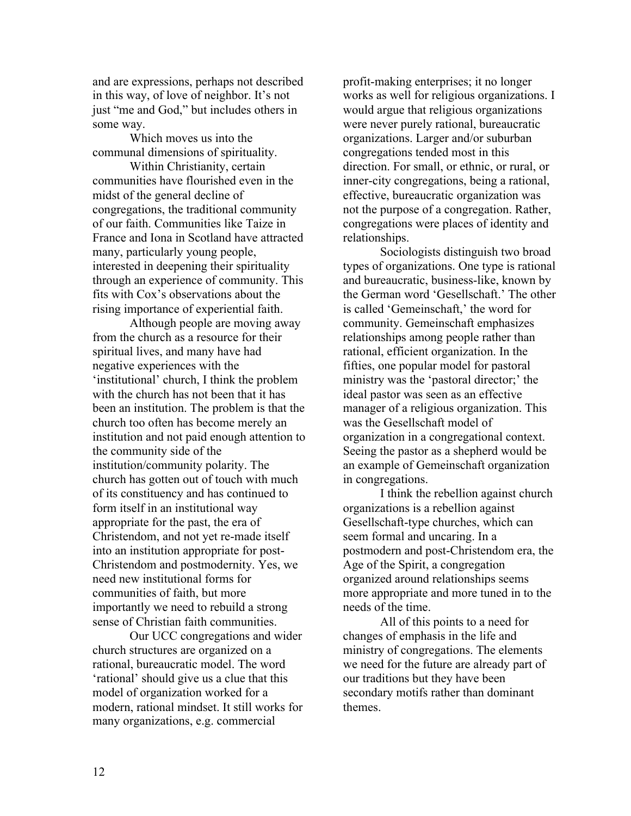and are expressions, perhaps not described in this way, of love of neighbor. It's not just "me and God," but includes others in some way.

Which moves us into the communal dimensions of spirituality.

Within Christianity, certain communities have flourished even in the midst of the general decline of congregations, the traditional community of our faith. Communities like Taize in France and Iona in Scotland have attracted many, particularly young people, interested in deepening their spirituality through an experience of community. This fits with Cox's observations about the rising importance of experiential faith.

Although people are moving away from the church as a resource for their spiritual lives, and many have had negative experiences with the 'institutional' church, I think the problem with the church has not been that it has been an institution. The problem is that the church too often has become merely an institution and not paid enough attention to the community side of the institution/community polarity. The church has gotten out of touch with much of its constituency and has continued to form itself in an institutional way appropriate for the past, the era of Christendom, and not yet re-made itself into an institution appropriate for post-Christendom and postmodernity. Yes, we need new institutional forms for communities of faith, but more importantly we need to rebuild a strong sense of Christian faith communities.

Our UCC congregations and wider church structures are organized on a rational, bureaucratic model. The word 'rational' should give us a clue that this model of organization worked for a modern, rational mindset. It still works for many organizations, e.g. commercial

profit-making enterprises; it no longer works as well for religious organizations. I would argue that religious organizations were never purely rational, bureaucratic organizations. Larger and/or suburban congregations tended most in this direction. For small, or ethnic, or rural, or inner-city congregations, being a rational, effective, bureaucratic organization was not the purpose of a congregation. Rather, congregations were places of identity and relationships.

Sociologists distinguish two broad types of organizations. One type is rational and bureaucratic, business-like, known by the German word 'Gesellschaft.' The other is called 'Gemeinschaft,' the word for community. Gemeinschaft emphasizes relationships among people rather than rational, efficient organization. In the fifties, one popular model for pastoral ministry was the 'pastoral director;' the ideal pastor was seen as an effective manager of a religious organization. This was the Gesellschaft model of organization in a congregational context. Seeing the pastor as a shepherd would be an example of Gemeinschaft organization in congregations.

I think the rebellion against church organizations is a rebellion against Gesellschaft-type churches, which can seem formal and uncaring. In a postmodern and post-Christendom era, the Age of the Spirit, a congregation organized around relationships seems more appropriate and more tuned in to the needs of the time.

All of this points to a need for changes of emphasis in the life and ministry of congregations. The elements we need for the future are already part of our traditions but they have been secondary motifs rather than dominant themes.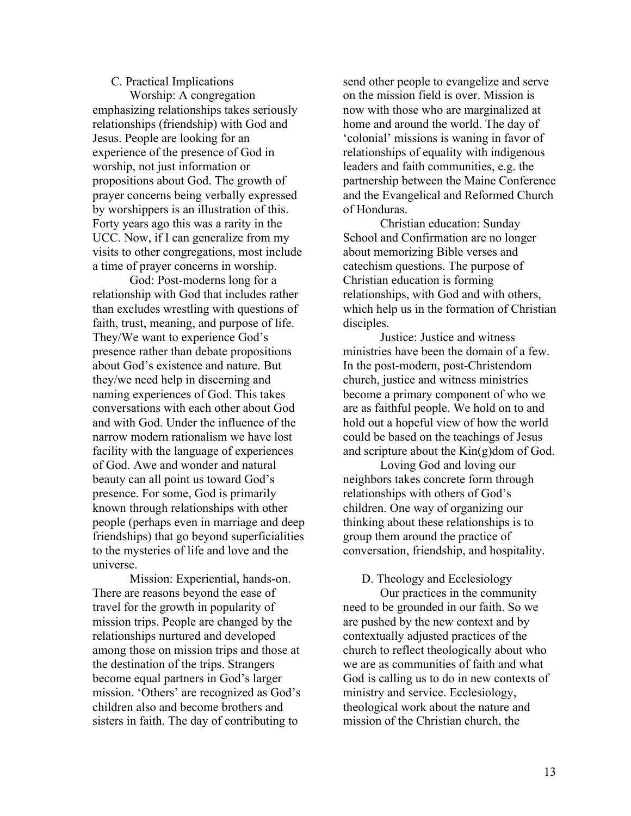#### C. Practical Implications

Worship: A congregation emphasizing relationships takes seriously relationships (friendship) with God and Jesus. People are looking for an experience of the presence of God in worship, not just information or propositions about God. The growth of prayer concerns being verbally expressed by worshippers is an illustration of this. Forty years ago this was a rarity in the UCC. Now, if I can generalize from my visits to other congregations, most include a time of prayer concerns in worship.

God: Post-moderns long for a relationship with God that includes rather than excludes wrestling with questions of faith, trust, meaning, and purpose of life. They/We want to experience God's presence rather than debate propositions about God's existence and nature. But they/we need help in discerning and naming experiences of God. This takes conversations with each other about God and with God. Under the influence of the narrow modern rationalism we have lost facility with the language of experiences of God. Awe and wonder and natural beauty can all point us toward God's presence. For some, God is primarily known through relationships with other people (perhaps even in marriage and deep friendships) that go beyond superficialities to the mysteries of life and love and the universe.

Mission: Experiential, hands-on. There are reasons beyond the ease of travel for the growth in popularity of mission trips. People are changed by the relationships nurtured and developed among those on mission trips and those at the destination of the trips. Strangers become equal partners in God's larger mission. 'Others' are recognized as God's children also and become brothers and sisters in faith. The day of contributing to

send other people to evangelize and serve on the mission field is over. Mission is now with those who are marginalized at home and around the world. The day of 'colonial' missions is waning in favor of relationships of equality with indigenous leaders and faith communities, e.g. the partnership between the Maine Conference and the Evangelical and Reformed Church of Honduras.

Christian education: Sunday School and Confirmation are no longer about memorizing Bible verses and catechism questions. The purpose of Christian education is forming relationships, with God and with others, which help us in the formation of Christian disciples.

Justice: Justice and witness ministries have been the domain of a few. In the post-modern, post-Christendom church, justice and witness ministries become a primary component of who we are as faithful people. We hold on to and hold out a hopeful view of how the world could be based on the teachings of Jesus and scripture about the Kin(g)dom of God.

Loving God and loving our neighbors takes concrete form through relationships with others of God's children. One way of organizing our thinking about these relationships is to group them around the practice of conversation, friendship, and hospitality.

D. Theology and Ecclesiology

Our practices in the community need to be grounded in our faith. So we are pushed by the new context and by contextually adjusted practices of the church to reflect theologically about who we are as communities of faith and what God is calling us to do in new contexts of ministry and service. Ecclesiology, theological work about the nature and mission of the Christian church, the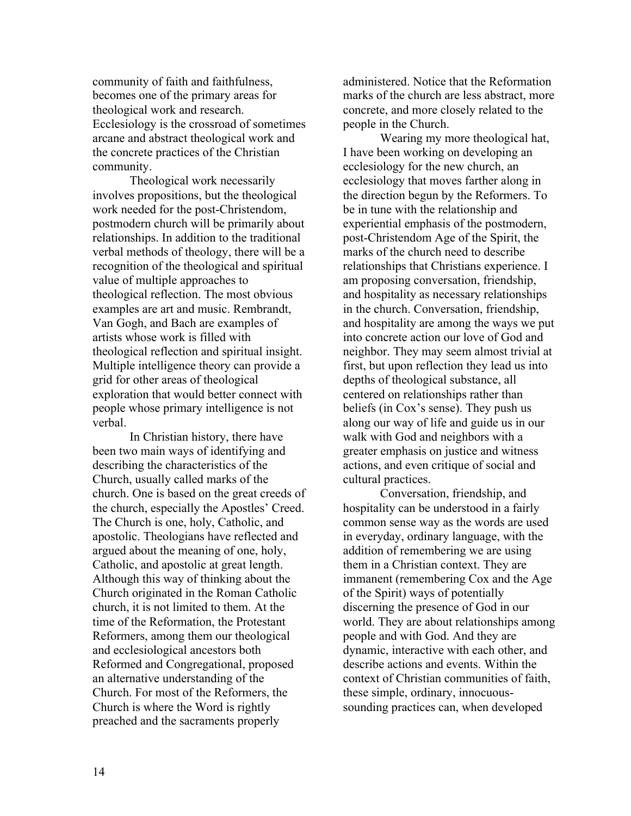community of faith and faithfulness, becomes one of the primary areas for theological work and research. Ecclesiology is the crossroad of sometimes arcane and abstract theological work and the concrete practices of the Christian community.

Theological work necessarily involves propositions, but the theological work needed for the post-Christendom, postmodern church will be primarily about relationships. In addition to the traditional verbal methods of theology, there will be a recognition of the theological and spiritual value of multiple approaches to theological reflection. The most obvious examples are art and music. Rembrandt, Van Gogh, and Bach are examples of artists whose work is filled with theological reflection and spiritual insight. Multiple intelligence theory can provide a grid for other areas of theological exploration that would better connect with people whose primary intelligence is not verbal.

In Christian history, there have been two main ways of identifying and describing the characteristics of the Church, usually called marks of the church. One is based on the great creeds of the church, especially the Apostles' Creed. The Church is one, holy, Catholic, and apostolic. Theologians have reflected and argued about the meaning of one, holy, Catholic, and apostolic at great length. Although this way of thinking about the Church originated in the Roman Catholic church, it is not limited to them. At the time of the Reformation, the Protestant Reformers, among them our theological and ecclesiological ancestors both Reformed and Congregational, proposed an alternative understanding of the Church. For most of the Reformers, the Church is where the Word is rightly preached and the sacraments properly

administered. Notice that the Reformation marks of the church are less abstract, more concrete, and more closely related to the people in the Church.

Wearing my more theological hat, I have been working on developing an ecclesiology for the new church, an ecclesiology that moves farther along in the direction begun by the Reformers. To be in tune with the relationship and experiential emphasis of the postmodern, post-Christendom Age of the Spirit, the marks of the church need to describe relationships that Christians experience. I am proposing conversation, friendship, and hospitality as necessary relationships in the church. Conversation, friendship, and hospitality are among the ways we put into concrete action our love of God and neighbor. They may seem almost trivial at first, but upon reflection they lead us into depths of theological substance, all centered on relationships rather than beliefs (in Cox's sense). They push us along our way of life and guide us in our walk with God and neighbors with a greater emphasis on justice and witness actions, and even critique of social and cultural practices.

Conversation, friendship, and hospitality can be understood in a fairly common sense way as the words are used in everyday, ordinary language, with the addition of remembering we are using them in a Christian context. They are immanent (remembering Cox and the Age of the Spirit) ways of potentially discerning the presence of God in our world. They are about relationships among people and with God. And they are dynamic, interactive with each other, and describe actions and events. Within the context of Christian communities of faith, these simple, ordinary, innocuoussounding practices can, when developed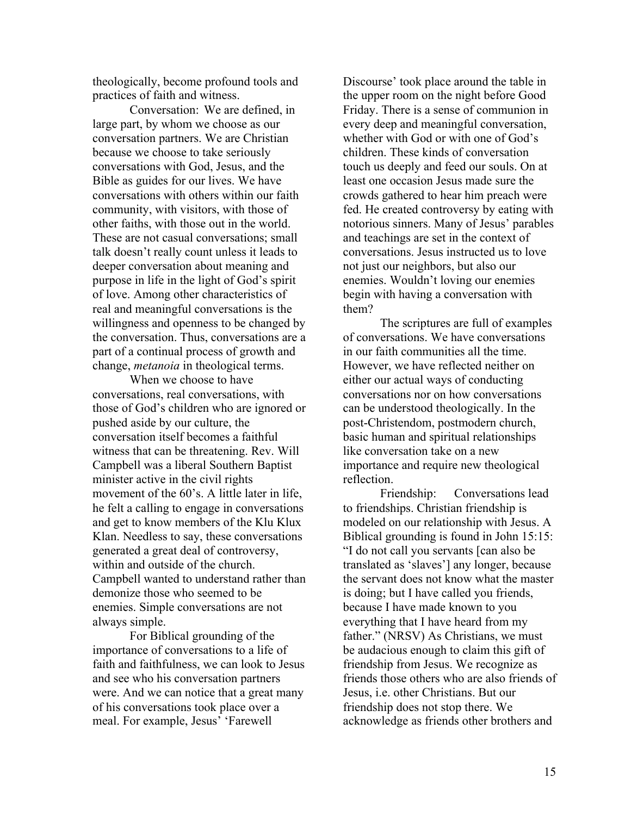theologically, become profound tools and practices of faith and witness.

Conversation: We are defined, in large part, by whom we choose as our conversation partners. We are Christian because we choose to take seriously conversations with God, Jesus, and the Bible as guides for our lives. We have conversations with others within our faith community, with visitors, with those of other faiths, with those out in the world. These are not casual conversations; small talk doesn't really count unless it leads to deeper conversation about meaning and purpose in life in the light of God's spirit of love. Among other characteristics of real and meaningful conversations is the willingness and openness to be changed by the conversation. Thus, conversations are a part of a continual process of growth and change, *metanoia* in theological terms.

When we choose to have conversations, real conversations, with those of God's children who are ignored or pushed aside by our culture, the conversation itself becomes a faithful witness that can be threatening. Rev. Will Campbell was a liberal Southern Baptist minister active in the civil rights movement of the 60's. A little later in life, he felt a calling to engage in conversations and get to know members of the Klu Klux Klan. Needless to say, these conversations generated a great deal of controversy, within and outside of the church. Campbell wanted to understand rather than demonize those who seemed to be enemies. Simple conversations are not always simple.

For Biblical grounding of the importance of conversations to a life of faith and faithfulness, we can look to Jesus and see who his conversation partners were. And we can notice that a great many of his conversations took place over a meal. For example, Jesus' 'Farewell

Discourse' took place around the table in the upper room on the night before Good Friday. There is a sense of communion in every deep and meaningful conversation, whether with God or with one of God's children. These kinds of conversation touch us deeply and feed our souls. On at least one occasion Jesus made sure the crowds gathered to hear him preach were fed. He created controversy by eating with notorious sinners. Many of Jesus' parables and teachings are set in the context of conversations. Jesus instructed us to love not just our neighbors, but also our enemies. Wouldn't loving our enemies begin with having a conversation with them?

The scriptures are full of examples of conversations. We have conversations in our faith communities all the time. However, we have reflected neither on either our actual ways of conducting conversations nor on how conversations can be understood theologically. In the post-Christendom, postmodern church, basic human and spiritual relationships like conversation take on a new importance and require new theological reflection.

Friendship: Conversations lead to friendships. Christian friendship is modeled on our relationship with Jesus. A Biblical grounding is found in John 15:15: "I do not call you servants [can also be translated as 'slaves'] any longer, because the servant does not know what the master is doing; but I have called you friends, because I have made known to you everything that I have heard from my father." (NRSV) As Christians, we must be audacious enough to claim this gift of friendship from Jesus. We recognize as friends those others who are also friends of Jesus, i.e. other Christians. But our friendship does not stop there. We acknowledge as friends other brothers and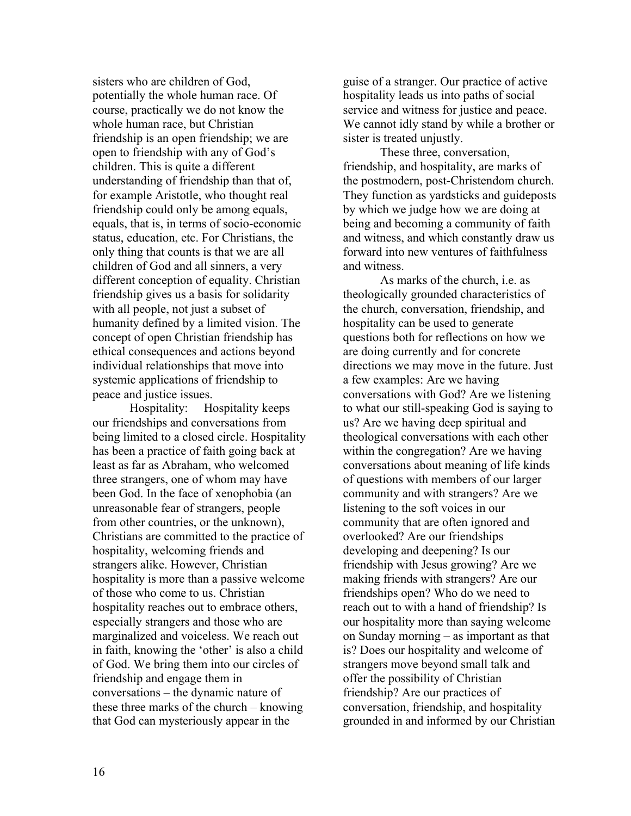sisters who are children of God, potentially the whole human race. Of course, practically we do not know the whole human race, but Christian friendship is an open friendship; we are open to friendship with any of God's children. This is quite a different understanding of friendship than that of, for example Aristotle, who thought real friendship could only be among equals, equals, that is, in terms of socio-economic status, education, etc. For Christians, the only thing that counts is that we are all children of God and all sinners, a very different conception of equality. Christian friendship gives us a basis for solidarity with all people, not just a subset of humanity defined by a limited vision. The concept of open Christian friendship has ethical consequences and actions beyond individual relationships that move into systemic applications of friendship to peace and justice issues.

Hospitality: Hospitality keeps our friendships and conversations from being limited to a closed circle. Hospitality has been a practice of faith going back at least as far as Abraham, who welcomed three strangers, one of whom may have been God. In the face of xenophobia (an unreasonable fear of strangers, people from other countries, or the unknown), Christians are committed to the practice of hospitality, welcoming friends and strangers alike. However, Christian hospitality is more than a passive welcome of those who come to us. Christian hospitality reaches out to embrace others, especially strangers and those who are marginalized and voiceless. We reach out in faith, knowing the 'other' is also a child of God. We bring them into our circles of friendship and engage them in conversations – the dynamic nature of these three marks of the church – knowing that God can mysteriously appear in the

guise of a stranger. Our practice of active hospitality leads us into paths of social service and witness for justice and peace. We cannot idly stand by while a brother or sister is treated unjustly.

These three, conversation, friendship, and hospitality, are marks of the postmodern, post-Christendom church. They function as yardsticks and guideposts by which we judge how we are doing at being and becoming a community of faith and witness, and which constantly draw us forward into new ventures of faithfulness and witness.

As marks of the church, i.e. as theologically grounded characteristics of the church, conversation, friendship, and hospitality can be used to generate questions both for reflections on how we are doing currently and for concrete directions we may move in the future. Just a few examples: Are we having conversations with God? Are we listening to what our still-speaking God is saying to us? Are we having deep spiritual and theological conversations with each other within the congregation? Are we having conversations about meaning of life kinds of questions with members of our larger community and with strangers? Are we listening to the soft voices in our community that are often ignored and overlooked? Are our friendships developing and deepening? Is our friendship with Jesus growing? Are we making friends with strangers? Are our friendships open? Who do we need to reach out to with a hand of friendship? Is our hospitality more than saying welcome on Sunday morning – as important as that is? Does our hospitality and welcome of strangers move beyond small talk and offer the possibility of Christian friendship? Are our practices of conversation, friendship, and hospitality grounded in and informed by our Christian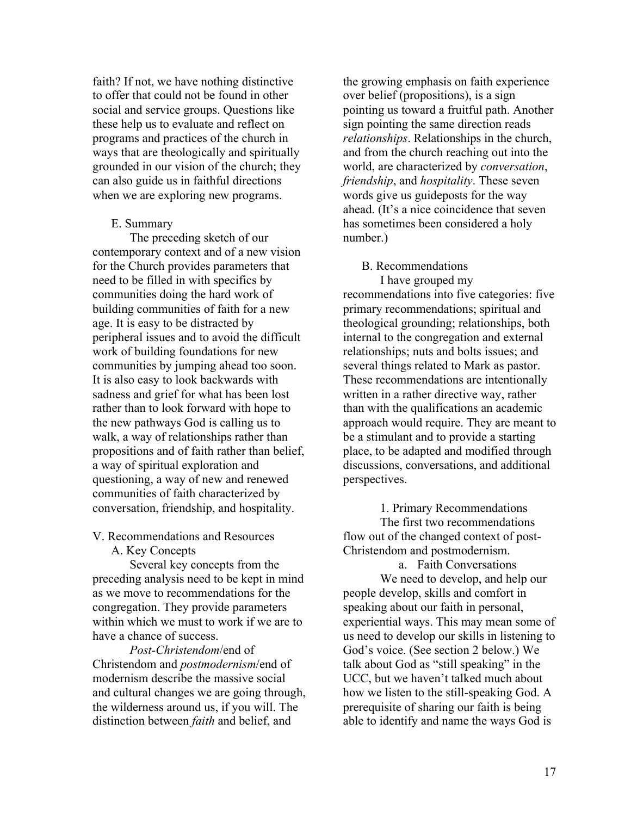faith? If not, we have nothing distinctive to offer that could not be found in other social and service groups. Questions like these help us to evaluate and reflect on programs and practices of the church in ways that are theologically and spiritually grounded in our vision of the church; they can also guide us in faithful directions when we are exploring new programs.

#### E. Summary

The preceding sketch of our contemporary context and of a new vision for the Church provides parameters that need to be filled in with specifics by communities doing the hard work of building communities of faith for a new age. It is easy to be distracted by peripheral issues and to avoid the difficult work of building foundations for new communities by jumping ahead too soon. It is also easy to look backwards with sadness and grief for what has been lost rather than to look forward with hope to the new pathways God is calling us to walk, a way of relationships rather than propositions and of faith rather than belief, a way of spiritual exploration and questioning, a way of new and renewed communities of faith characterized by conversation, friendship, and hospitality.

### V. Recommendations and Resources

A. Key Concepts

Several key concepts from the preceding analysis need to be kept in mind as we move to recommendations for the congregation. They provide parameters within which we must to work if we are to have a chance of success.

*Post-Christendom*/end of Christendom and *postmodernism*/end of modernism describe the massive social and cultural changes we are going through, the wilderness around us, if you will. The distinction between *faith* and belief, and

the growing emphasis on faith experience over belief (propositions), is a sign pointing us toward a fruitful path. Another sign pointing the same direction reads *relationships*. Relationships in the church, and from the church reaching out into the world, are characterized by *conversation*, *friendship*, and *hospitality*. These seven words give us guideposts for the way ahead. (It's a nice coincidence that seven has sometimes been considered a holy number.)

#### B. Recommendations

I have grouped my recommendations into five categories: five primary recommendations; spiritual and theological grounding; relationships, both internal to the congregation and external relationships; nuts and bolts issues; and several things related to Mark as pastor. These recommendations are intentionally written in a rather directive way, rather than with the qualifications an academic approach would require. They are meant to be a stimulant and to provide a starting place, to be adapted and modified through discussions, conversations, and additional perspectives.

1. Primary Recommendations The first two recommendations flow out of the changed context of post-Christendom and postmodernism.

a. Faith Conversations We need to develop, and help our people develop, skills and comfort in speaking about our faith in personal, experiential ways. This may mean some of us need to develop our skills in listening to God's voice. (See section 2 below.) We talk about God as "still speaking" in the UCC, but we haven't talked much about how we listen to the still-speaking God. A prerequisite of sharing our faith is being able to identify and name the ways God is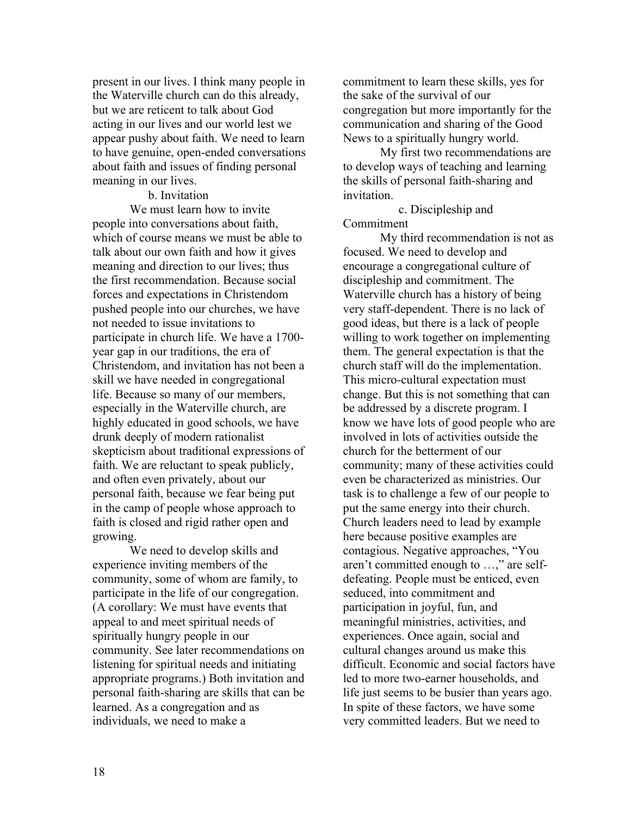present in our lives. I think many people in the Waterville church can do this already, but we are reticent to talk about God acting in our lives and our world lest we appear pushy about faith. We need to learn to have genuine, open-ended conversations about faith and issues of finding personal meaning in our lives.

b. Invitation We must learn how to invite people into conversations about faith, which of course means we must be able to talk about our own faith and how it gives meaning and direction to our lives; thus the first recommendation. Because social forces and expectations in Christendom pushed people into our churches, we have not needed to issue invitations to participate in church life. We have a 1700 year gap in our traditions, the era of Christendom, and invitation has not been a skill we have needed in congregational life. Because so many of our members, especially in the Waterville church, are highly educated in good schools, we have drunk deeply of modern rationalist skepticism about traditional expressions of faith. We are reluctant to speak publicly, and often even privately, about our personal faith, because we fear being put in the camp of people whose approach to faith is closed and rigid rather open and growing.

We need to develop skills and experience inviting members of the community, some of whom are family, to participate in the life of our congregation. (A corollary: We must have events that appeal to and meet spiritual needs of spiritually hungry people in our community. See later recommendations on listening for spiritual needs and initiating appropriate programs.) Both invitation and personal faith-sharing are skills that can be learned. As a congregation and as individuals, we need to make a

commitment to learn these skills, yes for the sake of the survival of our congregation but more importantly for the communication and sharing of the Good News to a spiritually hungry world.

My first two recommendations are to develop ways of teaching and learning the skills of personal faith-sharing and invitation.

c. Discipleship and Commitment

My third recommendation is not as focused. We need to develop and encourage a congregational culture of discipleship and commitment. The Waterville church has a history of being very staff-dependent. There is no lack of good ideas, but there is a lack of people willing to work together on implementing them. The general expectation is that the church staff will do the implementation. This micro-cultural expectation must change. But this is not something that can be addressed by a discrete program. I know we have lots of good people who are involved in lots of activities outside the church for the betterment of our community; many of these activities could even be characterized as ministries. Our task is to challenge a few of our people to put the same energy into their church. Church leaders need to lead by example here because positive examples are contagious. Negative approaches, "You aren't committed enough to …," are selfdefeating. People must be enticed, even seduced, into commitment and participation in joyful, fun, and meaningful ministries, activities, and experiences. Once again, social and cultural changes around us make this difficult. Economic and social factors have led to more two-earner households, and life just seems to be busier than years ago. In spite of these factors, we have some very committed leaders. But we need to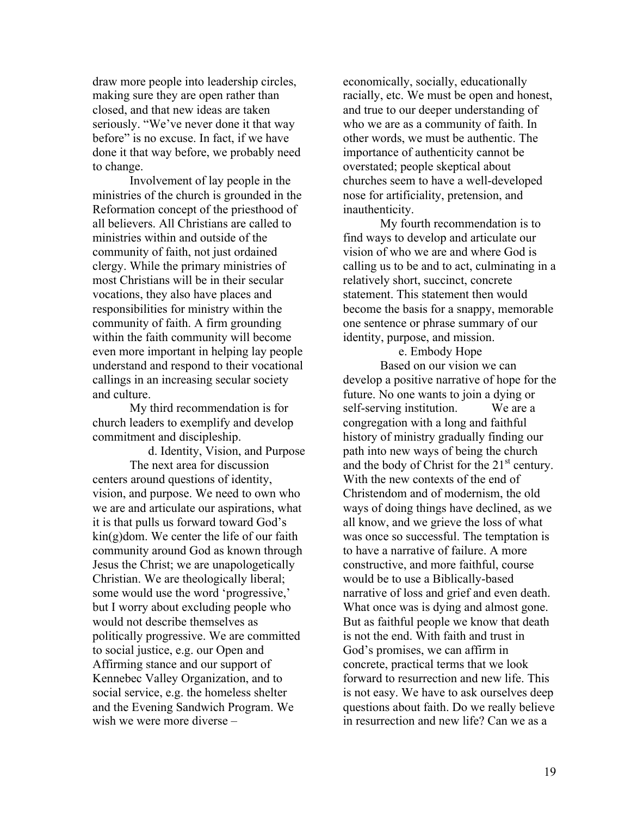draw more people into leadership circles, making sure they are open rather than closed, and that new ideas are taken seriously. "We've never done it that way before" is no excuse. In fact, if we have done it that way before, we probably need to change.

Involvement of lay people in the ministries of the church is grounded in the Reformation concept of the priesthood of all believers. All Christians are called to ministries within and outside of the community of faith, not just ordained clergy. While the primary ministries of most Christians will be in their secular vocations, they also have places and responsibilities for ministry within the community of faith. A firm grounding within the faith community will become even more important in helping lay people understand and respond to their vocational callings in an increasing secular society and culture.

My third recommendation is for church leaders to exemplify and develop commitment and discipleship.

d. Identity, Vision, and Purpose The next area for discussion centers around questions of identity, vision, and purpose. We need to own who we are and articulate our aspirations, what it is that pulls us forward toward God's kin(g)dom. We center the life of our faith community around God as known through Jesus the Christ; we are unapologetically Christian. We are theologically liberal; some would use the word 'progressive,' but I worry about excluding people who would not describe themselves as politically progressive. We are committed to social justice, e.g. our Open and Affirming stance and our support of Kennebec Valley Organization, and to social service, e.g. the homeless shelter and the Evening Sandwich Program. We wish we were more diverse –

economically, socially, educationally racially, etc. We must be open and honest, and true to our deeper understanding of who we are as a community of faith. In other words, we must be authentic. The importance of authenticity cannot be overstated; people skeptical about churches seem to have a well-developed nose for artificiality, pretension, and inauthenticity.

My fourth recommendation is to find ways to develop and articulate our vision of who we are and where God is calling us to be and to act, culminating in a relatively short, succinct, concrete statement. This statement then would become the basis for a snappy, memorable one sentence or phrase summary of our identity, purpose, and mission.

e. Embody Hope

Based on our vision we can develop a positive narrative of hope for the future. No one wants to join a dying or self-serving institution. We are a congregation with a long and faithful history of ministry gradually finding our path into new ways of being the church and the body of Christ for the  $21<sup>st</sup>$  century. With the new contexts of the end of Christendom and of modernism, the old ways of doing things have declined, as we all know, and we grieve the loss of what was once so successful. The temptation is to have a narrative of failure. A more constructive, and more faithful, course would be to use a Biblically-based narrative of loss and grief and even death. What once was is dying and almost gone. But as faithful people we know that death is not the end. With faith and trust in God's promises, we can affirm in concrete, practical terms that we look forward to resurrection and new life. This is not easy. We have to ask ourselves deep questions about faith. Do we really believe in resurrection and new life? Can we as a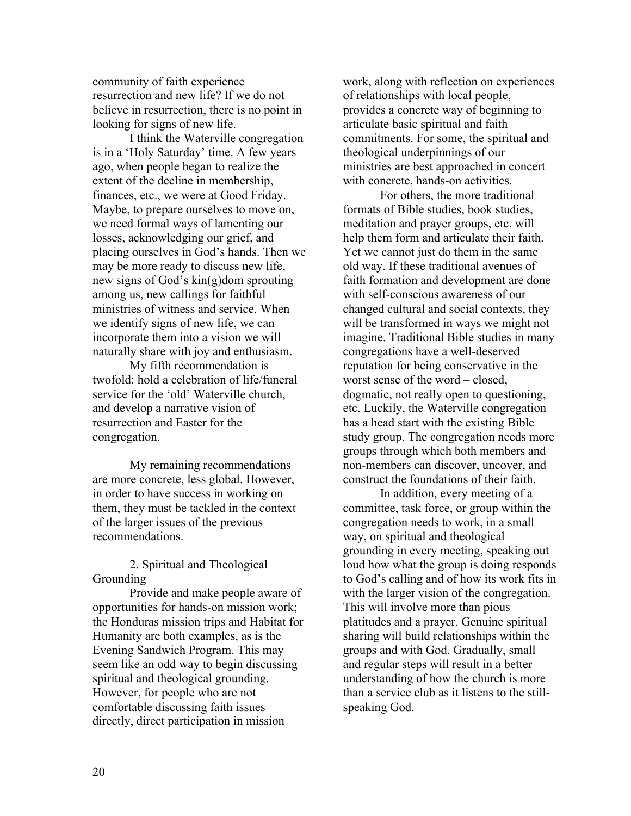community of faith experience resurrection and new life? If we do not believe in resurrection, there is no point in looking for signs of new life.

I think the Waterville congregation is in a 'Holy Saturday' time. A few years ago, when people began to realize the extent of the decline in membership, finances, etc., we were at Good Friday. Maybe, to prepare ourselves to move on, we need formal ways of lamenting our losses, acknowledging our grief, and placing ourselves in God's hands. Then we may be more ready to discuss new life, new signs of God's kin(g)dom sprouting among us, new callings for faithful ministries of witness and service. When we identify signs of new life, we can incorporate them into a vision we will naturally share with joy and enthusiasm.

My fifth recommendation is twofold: hold a celebration of life/funeral service for the 'old' Waterville church, and develop a narrative vision of resurrection and Easter for the congregation.

My remaining recommendations are more concrete, less global. However, in order to have success in working on them, they must be tackled in the context of the larger issues of the previous recommendations.

2. Spiritual and Theological **Grounding** 

Provide and make people aware of opportunities for hands-on mission work; the Honduras mission trips and Habitat for Humanity are both examples, as is the Evening Sandwich Program. This may seem like an odd way to begin discussing spiritual and theological grounding. However, for people who are not comfortable discussing faith issues directly, direct participation in mission

work, along with reflection on experiences of relationships with local people, provides a concrete way of beginning to articulate basic spiritual and faith commitments. For some, the spiritual and theological underpinnings of our ministries are best approached in concert with concrete, hands-on activities.

For others, the more traditional formats of Bible studies, book studies, meditation and prayer groups, etc. will help them form and articulate their faith. Yet we cannot just do them in the same old way. If these traditional avenues of faith formation and development are done with self-conscious awareness of our changed cultural and social contexts, they will be transformed in ways we might not imagine. Traditional Bible studies in many congregations have a well-deserved reputation for being conservative in the worst sense of the word – closed, dogmatic, not really open to questioning, etc. Luckily, the Waterville congregation has a head start with the existing Bible study group. The congregation needs more groups through which both members and non-members can discover, uncover, and construct the foundations of their faith.

In addition, every meeting of a committee, task force, or group within the congregation needs to work, in a small way, on spiritual and theological grounding in every meeting, speaking out loud how what the group is doing responds to God's calling and of how its work fits in with the larger vision of the congregation. This will involve more than pious platitudes and a prayer. Genuine spiritual sharing will build relationships within the groups and with God. Gradually, small and regular steps will result in a better understanding of how the church is more than a service club as it listens to the stillspeaking God.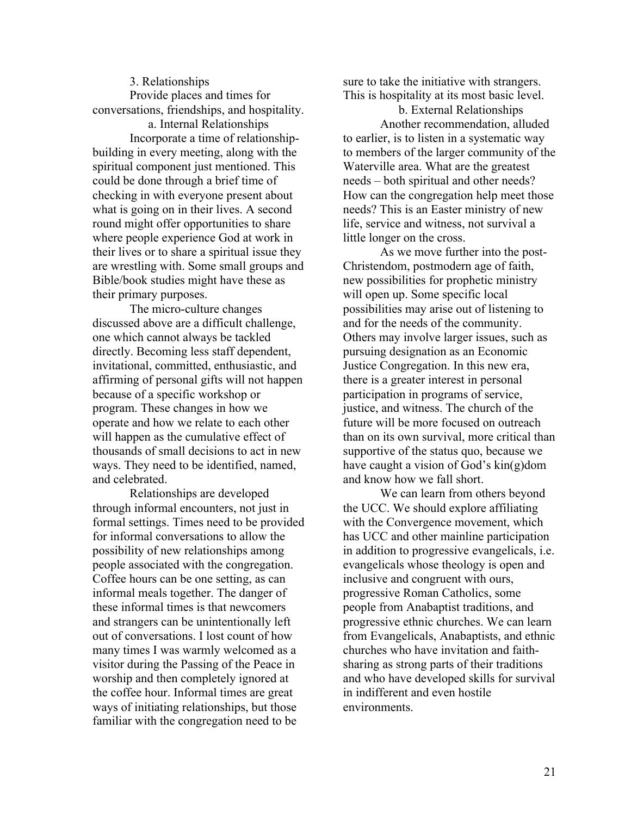3. Relationships Provide places and times for conversations, friendships, and hospitality.

a. Internal Relationships Incorporate a time of relationshipbuilding in every meeting, along with the spiritual component just mentioned. This could be done through a brief time of checking in with everyone present about what is going on in their lives. A second round might offer opportunities to share where people experience God at work in their lives or to share a spiritual issue they are wrestling with. Some small groups and Bible/book studies might have these as their primary purposes.

The micro-culture changes discussed above are a difficult challenge, one which cannot always be tackled directly. Becoming less staff dependent, invitational, committed, enthusiastic, and affirming of personal gifts will not happen because of a specific workshop or program. These changes in how we operate and how we relate to each other will happen as the cumulative effect of thousands of small decisions to act in new ways. They need to be identified, named, and celebrated.

Relationships are developed through informal encounters, not just in formal settings. Times need to be provided for informal conversations to allow the possibility of new relationships among people associated with the congregation. Coffee hours can be one setting, as can informal meals together. The danger of these informal times is that newcomers and strangers can be unintentionally left out of conversations. I lost count of how many times I was warmly welcomed as a visitor during the Passing of the Peace in worship and then completely ignored at the coffee hour. Informal times are great ways of initiating relationships, but those familiar with the congregation need to be

sure to take the initiative with strangers. This is hospitality at its most basic level.

b. External Relationships Another recommendation, alluded to earlier, is to listen in a systematic way to members of the larger community of the Waterville area. What are the greatest needs – both spiritual and other needs? How can the congregation help meet those needs? This is an Easter ministry of new life, service and witness, not survival a little longer on the cross.

As we move further into the post-Christendom, postmodern age of faith, new possibilities for prophetic ministry will open up. Some specific local possibilities may arise out of listening to and for the needs of the community. Others may involve larger issues, such as pursuing designation as an Economic Justice Congregation. In this new era, there is a greater interest in personal participation in programs of service, justice, and witness. The church of the future will be more focused on outreach than on its own survival, more critical than supportive of the status quo, because we have caught a vision of God's kin(g)dom and know how we fall short.

We can learn from others beyond the UCC. We should explore affiliating with the Convergence movement, which has UCC and other mainline participation in addition to progressive evangelicals, i.e. evangelicals whose theology is open and inclusive and congruent with ours, progressive Roman Catholics, some people from Anabaptist traditions, and progressive ethnic churches. We can learn from Evangelicals, Anabaptists, and ethnic churches who have invitation and faithsharing as strong parts of their traditions and who have developed skills for survival in indifferent and even hostile environments.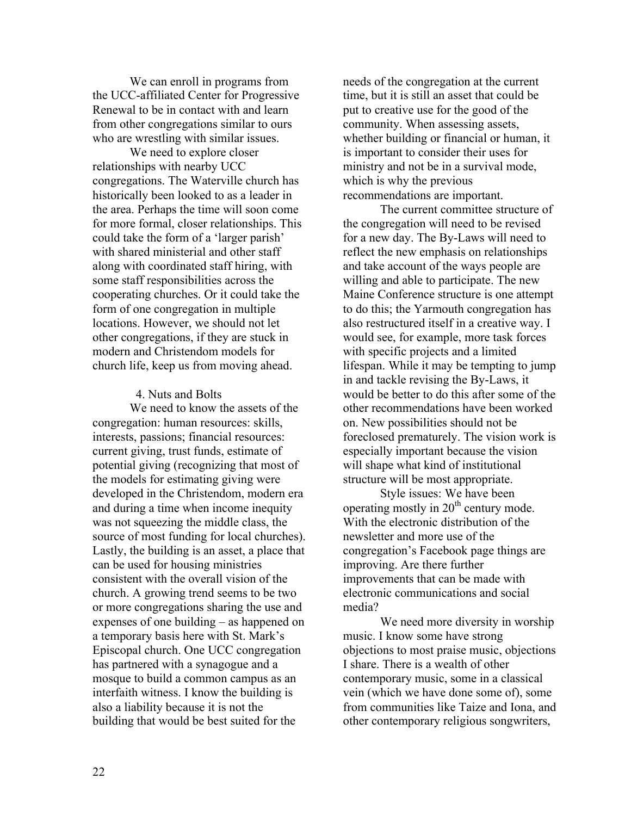We can enroll in programs from the UCC-affiliated Center for Progressive Renewal to be in contact with and learn from other congregations similar to ours who are wrestling with similar issues.

We need to explore closer relationships with nearby UCC congregations. The Waterville church has historically been looked to as a leader in the area. Perhaps the time will soon come for more formal, closer relationships. This could take the form of a 'larger parish' with shared ministerial and other staff along with coordinated staff hiring, with some staff responsibilities across the cooperating churches. Or it could take the form of one congregation in multiple locations. However, we should not let other congregations, if they are stuck in modern and Christendom models for church life, keep us from moving ahead.

#### 4. Nuts and Bolts

We need to know the assets of the congregation: human resources: skills, interests, passions; financial resources: current giving, trust funds, estimate of potential giving (recognizing that most of the models for estimating giving were developed in the Christendom, modern era and during a time when income inequity was not squeezing the middle class, the source of most funding for local churches). Lastly, the building is an asset, a place that can be used for housing ministries consistent with the overall vision of the church. A growing trend seems to be two or more congregations sharing the use and expenses of one building – as happened on a temporary basis here with St. Mark's Episcopal church. One UCC congregation has partnered with a synagogue and a mosque to build a common campus as an interfaith witness. I know the building is also a liability because it is not the building that would be best suited for the

needs of the congregation at the current time, but it is still an asset that could be put to creative use for the good of the community. When assessing assets, whether building or financial or human, it is important to consider their uses for ministry and not be in a survival mode, which is why the previous recommendations are important.

The current committee structure of the congregation will need to be revised for a new day. The By-Laws will need to reflect the new emphasis on relationships and take account of the ways people are willing and able to participate. The new Maine Conference structure is one attempt to do this; the Yarmouth congregation has also restructured itself in a creative way. I would see, for example, more task forces with specific projects and a limited lifespan. While it may be tempting to jump in and tackle revising the By-Laws, it would be better to do this after some of the other recommendations have been worked on. New possibilities should not be foreclosed prematurely. The vision work is especially important because the vision will shape what kind of institutional structure will be most appropriate.

Style issues: We have been operating mostly in 20th century mode. With the electronic distribution of the newsletter and more use of the congregation's Facebook page things are improving. Are there further improvements that can be made with electronic communications and social media?

We need more diversity in worship music. I know some have strong objections to most praise music, objections I share. There is a wealth of other contemporary music, some in a classical vein (which we have done some of), some from communities like Taize and Iona, and other contemporary religious songwriters,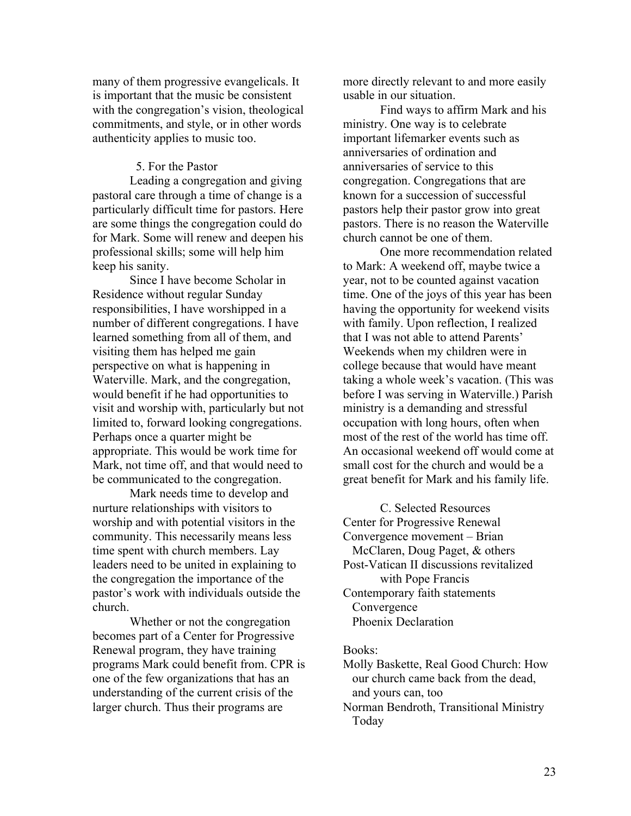many of them progressive evangelicals. It is important that the music be consistent with the congregation's vision, theological commitments, and style, or in other words authenticity applies to music too.

#### 5. For the Pastor

Leading a congregation and giving pastoral care through a time of change is a particularly difficult time for pastors. Here are some things the congregation could do for Mark. Some will renew and deepen his professional skills; some will help him keep his sanity.

Since I have become Scholar in Residence without regular Sunday responsibilities, I have worshipped in a number of different congregations. I have learned something from all of them, and visiting them has helped me gain perspective on what is happening in Waterville. Mark, and the congregation, would benefit if he had opportunities to visit and worship with, particularly but not limited to, forward looking congregations. Perhaps once a quarter might be appropriate. This would be work time for Mark, not time off, and that would need to be communicated to the congregation.

Mark needs time to develop and nurture relationships with visitors to worship and with potential visitors in the community. This necessarily means less time spent with church members. Lay leaders need to be united in explaining to the congregation the importance of the pastor's work with individuals outside the church.

Whether or not the congregation becomes part of a Center for Progressive Renewal program, they have training programs Mark could benefit from. CPR is one of the few organizations that has an understanding of the current crisis of the larger church. Thus their programs are

more directly relevant to and more easily usable in our situation.

Find ways to affirm Mark and his ministry. One way is to celebrate important lifemarker events such as anniversaries of ordination and anniversaries of service to this congregation. Congregations that are known for a succession of successful pastors help their pastor grow into great pastors. There is no reason the Waterville church cannot be one of them.

One more recommendation related to Mark: A weekend off, maybe twice a year, not to be counted against vacation time. One of the joys of this year has been having the opportunity for weekend visits with family. Upon reflection, I realized that I was not able to attend Parents' Weekends when my children were in college because that would have meant taking a whole week's vacation. (This was before I was serving in Waterville.) Parish ministry is a demanding and stressful occupation with long hours, often when most of the rest of the world has time off. An occasional weekend off would come at small cost for the church and would be a great benefit for Mark and his family life.

C. Selected Resources Center for Progressive Renewal Convergence movement – Brian McClaren, Doug Paget, & others Post-Vatican II discussions revitalized with Pope Francis Contemporary faith statements Convergence Phoenix Declaration

#### Books:

Molly Baskette, Real Good Church: How our church came back from the dead, and yours can, too

Norman Bendroth, Transitional Ministry Today